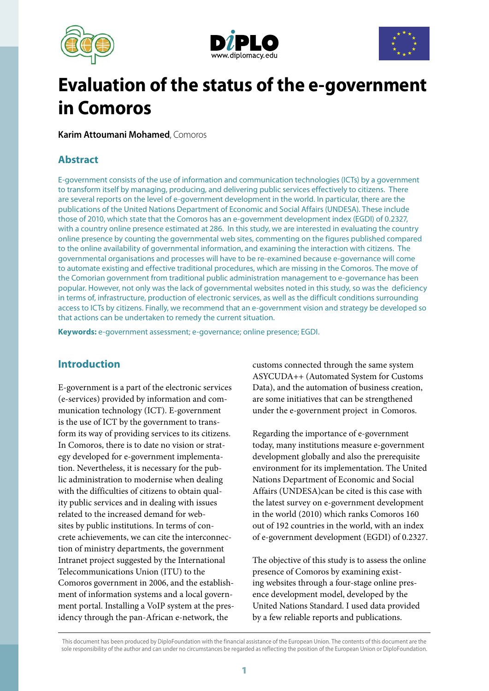





# **Evaluation of the status of the e-government in Comoros**

**Karim Attoumani Mohamed**, Comoros

# **Abstract**

E-government consists of the use of information and communication technologies (ICTs) by a government to transform itself by managing, producing, and delivering public services effectively to citizens. There are several reports on the level of e-government development in the world. In particular, there are the publications of the United Nations Department of Economic and Social Affairs (UNDESA). These include those of 2010, which state that the Comoros has an e-government development index (EGDI) of 0.2327, with a country online presence estimated at 286. In this study, we are interested in evaluating the country online presence by counting the governmental web sites, commenting on the figures published compared to the online availability of governmental information, and examining the interaction with citizens. The governmental organisations and processes will have to be re-examined because e-governance will come to automate existing and effective traditional procedures, which are missing in the Comoros. The move of the Comorian government from traditional public administration management to e-governance has been popular. However, not only was the lack of governmental websites noted in this study, so was the deficiency in terms of, infrastructure, production of electronic services, as well as the difficult conditions surrounding access to ICTs by citizens. Finally, we recommend that an e-government vision and strategy be developed so that actions can be undertaken to remedy the current situation.

**Keywords:** e-government assessment; e-governance; online presence; EGDI.

# **Introduction**

E-government is a part of the electronic services (e-services) provided by information and communication technology (ICT). E-government is the use of ICT by the government to transform its way of providing services to its citizens. In Comoros, there is to date no vision or strategy developed for e-government implementation. Nevertheless, it is necessary for the public administration to modernise when dealing with the difficulties of citizens to obtain quality public services and in dealing with issues related to the increased demand for websites by public institutions. In terms of concrete achievements, we can cite the interconnection of ministry departments, the government Intranet project suggested by the International Telecommunications Union (ITU) to the Comoros government in 2006, and the establishment of information systems and a local government portal. Installing a VoIP system at the presidency through the pan-African e-network, the

customs connected through the same system ASYCUDA++ (Automated System for Customs Data), and the automation of business creation, are some initiatives that can be strengthened under the e-government project in Comoros.

Regarding the importance of e-government today, many institutions measure e-government development globally and also the prerequisite environment for its implementation. The United Nations Department of Economic and Social Affairs (UNDESA)can be cited is this case with the latest survey on e-government development in the world (2010) which ranks Comoros 160 out of 192 countries in the world, with an index of e-government development (EGDI) of 0.2327.

The objective of this study is to assess the online presence of Comoros by examining existing websites through a four-stage online presence development model, developed by the United Nations Standard. I used data provided by a few reliable reports and publications.

This document has been produced by DiploFoundation with the financial assistance of the European Union. The contents of this document are the sole responsibility of the author and can under no circumstances be regarded as reflecting the position of the European Union or DiploFoundation.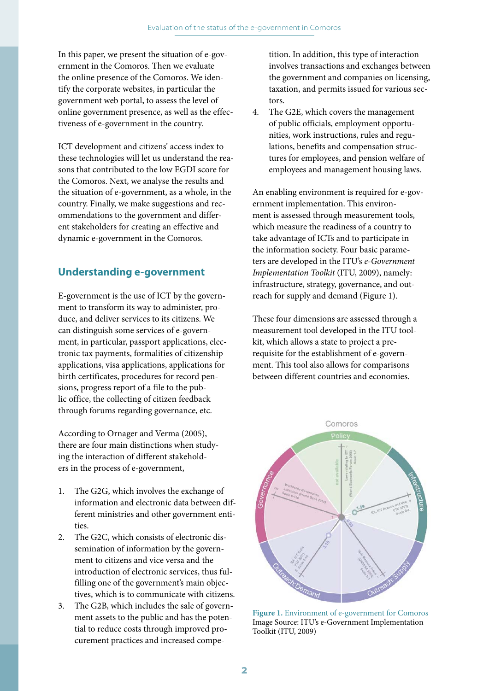In this paper, we present the situation of e-government in the Comoros. Then we evaluate the online presence of the Comoros. We identify the corporate websites, in particular the government web portal, to assess the level of online government presence, as well as the effectiveness of e-government in the country.

ICT development and citizens' access index to these technologies will let us understand the reasons that contributed to the low EGDI score for the Comoros. Next, we analyse the results and the situation of e-government, as a whole, in the country. Finally, we make suggestions and recommendations to the government and different stakeholders for creating an effective and dynamic e-government in the Comoros.

# **Understanding e-government**

E-government is the use of ICT by the government to transform its way to administer, produce, and deliver services to its citizens. We can distinguish some services of e-government, in particular, passport applications, electronic tax payments, formalities of citizenship applications, visa applications, applications for birth certificates, procedures for record pensions, progress report of a file to the public office, the collecting of citizen feedback through forums regarding governance, etc.

According to Ornager and Verma (2005), there are four main distinctions when studying the interaction of different stakeholders in the process of e-government,

- 1. The G2G, which involves the exchange of information and electronic data between different ministries and other government entities.
- 2. The G2C, which consists of electronic dissemination of information by the government to citizens and vice versa and the introduction of electronic services, thus fulfilling one of the government's main objectives, which is to communicate with citizens.
- 3. The G2B, which includes the sale of government assets to the public and has the potential to reduce costs through improved procurement practices and increased compe-

tition. In addition, this type of interaction involves transactions and exchanges between the government and companies on licensing, taxation, and permits issued for various sectors.

4. The G2E, which covers the management of public officials, employment opportunities, work instructions, rules and regulations, benefits and compensation structures for employees, and pension welfare of employees and management housing laws.

An enabling environment is required for e-government implementation. This environment is assessed through measurement tools, which measure the readiness of a country to take advantage of ICTs and to participate in the information society. Four basic parameters are developed in the ITU's *e-Government Implementation Toolkit* (ITU, 2009), namely: infrastructure, strategy, governance, and outreach for supply and demand (Figure 1).

These four dimensions are assessed through a measurement tool developed in the ITU toolkit, which allows a state to project a prerequisite for the establishment of e-government. This tool also allows for comparisons between different countries and economies.



**Figure 1.** Environment of e-government for Comoros Image Source: ITU's e-Government Implementation Toolkit (ITU, 2009)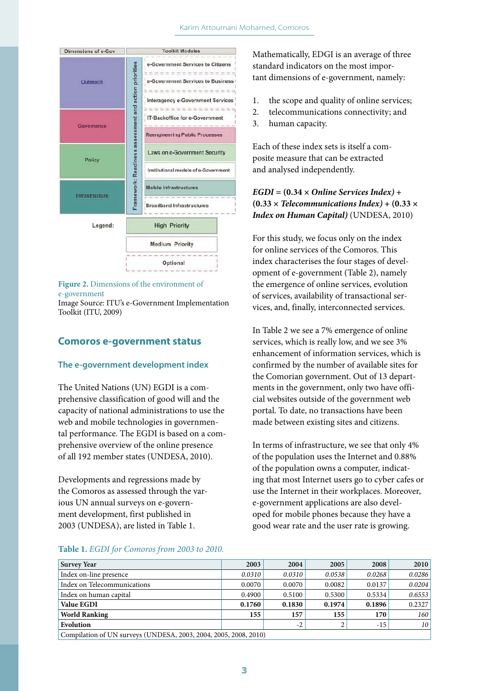

#### **Figure 2.** Dimensions of the environment of e-government

Image Source: ITU's e-Government Implementation Toolkit (ITU, 2009)

# **Comoros e-government status**

#### **The e-government development index**

The United Nations (UN) EGDI is a comprehensive classification of good will and the capacity of national administrations to use the web and mobile technologies in governmental performance. The EGDI is based on a comprehensive overview of the online presence of all 192 member states (UNDESA, 2010).

Developments and regressions made by the Comoros as assessed through the various UN annual surveys on e-government development, first published in 2003 (UNDESA), are listed in Table 1.

Mathematically, EDGI is an average of three standard indicators on the most important dimensions of e-government, namely:

- 1. the scope and quality of online services;
- 2. telecommunications connectivity; and
- 3. human capacity.

Each of these index sets is itself a composite measure that can be extracted and analysed independently.

# $EGDI = (0.34 \times Online Services Index) +$  $(0.33 \times$  *Telecommunications Index*) +  $(0.33 \times$ *Index on Human Capital)* (UNDESA, 2010)

For this study, we focus only on the index for online services of the Comoros. This index characterises the four stages of development of e-government (Table 2), namely the emergence of online services, evolution of services, availability of transactional services, and, finally, interconnected services.

In Table 2 we see a 7% emergence of online services, which is really low, and we see 3% enhancement of information services, which is confirmed by the number of available sites for the Comorian government. Out of 13 departments in the government, only two have official websites outside of the government web portal. To date, no transactions have been made between existing sites and citizens.

In terms of infrastructure, we see that only 4% of the population uses the Internet and 0.88% of the population owns a computer, indicating that most Internet users go to cyber cafes or use the Internet in their workplaces. Moreover, e-government applications are also developed for mobile phones because they have a good wear rate and the user rate is growing.

#### **Table 1.** *EGDI for Comoros from 2003 to 2010.*

| <b>Survey Year</b>                                          | 2003   | 2004   | 2005   | 2008   | 2010            |
|-------------------------------------------------------------|--------|--------|--------|--------|-----------------|
| Index on-line presence                                      | 0.0310 | 0.0310 | 0.0538 | 0.0268 | 0.0286          |
| Index on Telecommunications                                 | 0.0070 | 0.0070 | 0.0082 | 0.0137 | 0.0204          |
| Index on human capital                                      | 0.4900 | 0.5100 | 0.5300 | 0.5334 | 0.6553          |
| <b>Value EGDI</b>                                           | 0.1760 | 0.1830 | 0.1974 | 0.1896 | 0.2327          |
| <b>World Ranking</b>                                        | 155    | 157    | 155    | 170    | 160             |
| Evolution                                                   |        | $-2$   |        | $-15$  | 10 <sup>°</sup> |
| Compilation of UN surveys (UNDESA 2003 2004 2005 2008 2010) |        |        |        |        |                 |

| Compilation of UN surveys (UNDESA, 2005, 2004, 2005, 2008, 2010)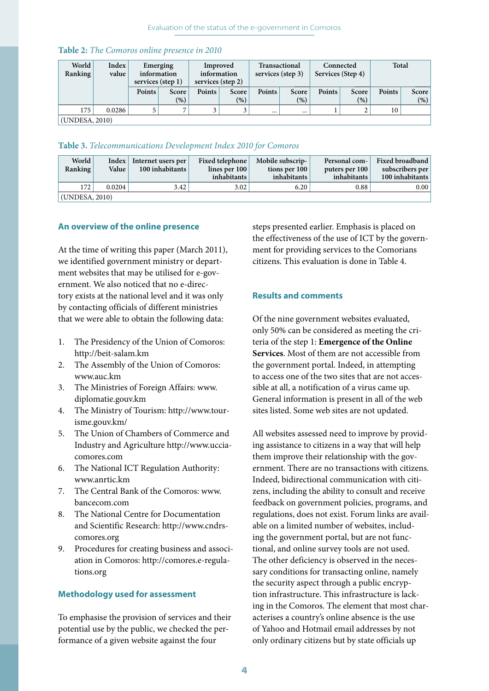|  | <b>Table 2:</b> The Comoros online presence in 2010 |  |  |  |
|--|-----------------------------------------------------|--|--|--|
|  |                                                     |  |  |  |

| World<br>Ranking | Index<br>value | services (step 1) | Emerging<br>information | information | Improved<br>services (step 2) | <b>Transactional</b><br>services (step 3) |              | Connected<br>Services (Step 4) |              | Total         |                 |
|------------------|----------------|-------------------|-------------------------|-------------|-------------------------------|-------------------------------------------|--------------|--------------------------------|--------------|---------------|-----------------|
|                  |                | Points            | Score<br>(9)            | Points      | Score<br>(%)                  | Points                                    | Score<br>(%) | Points                         | Score<br>(9) | <b>Points</b> | Score<br>$(\%)$ |
| 175              | 0.0286         |                   | −                       |             | ◡                             | $\cdots$                                  |              |                                |              | 10            |                 |
| (UNDESA, 2010)   |                |                   |                         |             |                               |                                           |              |                                |              |               |                 |

# **Table 3.** *Telecommunications Development Index 2010 for Comoros*

| <b>World</b><br>Ranking | Value  | Index Internet users per<br>100 inhabitants | Fixed telephone<br>lines per $100$<br>inhabitants | Mobile subscrip-<br>tions per 100<br>inhabitants | Personal com-<br>puters per 100<br>inhabitants | Fixed broadband<br>subscribers per<br>100 inhabitants |
|-------------------------|--------|---------------------------------------------|---------------------------------------------------|--------------------------------------------------|------------------------------------------------|-------------------------------------------------------|
| 172                     | 0.0204 | 3.42                                        | 3.02                                              | 6.20                                             | 0.88                                           | $0.00\vert$                                           |
| (UNDESA, 2010)          |        |                                             |                                                   |                                                  |                                                |                                                       |

## **An overview of the online presence**

At the time of writing this paper (March 2011), we identified government ministry or department websites that may be utilised for e-government. We also noticed that no e-directory exists at the national level and it was only by contacting officials of different ministries that we were able to obtain the following data:

- 1. The Presidency of the Union of Comoros: http://beit-salam.km
- 2. The Assembly of the Union of Comoros: www.auc.km
- 3. The Ministries of Foreign Affairs: www. diplomatie.gouv.km
- 4. The Ministry of Tourism: http://www.tourisme.gouv.km/
- 5. The Union of Chambers of Commerce and Industry and Agriculture http://www.ucciacomores.com
- 6. The National ICT Regulation Authority: www.anrtic.km
- 7. The Central Bank of the Comoros: www. bancecom.com
- 8. The National Centre for Documentation and Scientific Research: http://www.cndrscomores.org
- 9. Procedures for creating business and association in Comoros: http://comores.e-regulations.org

### **Methodology used for assessment**

To emphasise the provision of services and their potential use by the public, we checked the performance of a given website against the four

steps presented earlier. Emphasis is placed on the effectiveness of the use of ICT by the government for providing services to the Comorians citizens. This evaluation is done in Table 4.

## **Results and comments**

Of the nine government websites evaluated, only 50% can be considered as meeting the criteria of the step 1: **Emergence of the Online Services**. Most of them are not accessible from the government portal. Indeed, in attempting to access one of the two sites that are not accessible at all, a notification of a virus came up. General information is present in all of the web sites listed. Some web sites are not updated.

All websites assessed need to improve by providing assistance to citizens in a way that will help them improve their relationship with the government. There are no transactions with citizens. Indeed, bidirectional communication with citizens, including the ability to consult and receive feedback on government policies, programs, and regulations, does not exist. Forum links are available on a limited number of websites, including the government portal, but are not functional, and online survey tools are not used. The other deficiency is observed in the necessary conditions for transacting online, namely the security aspect through a public encryption infrastructure. This infrastructure is lacking in the Comoros. The element that most characterises a country's online absence is the use of Yahoo and Hotmail email addresses by not only ordinary citizens but by state officials up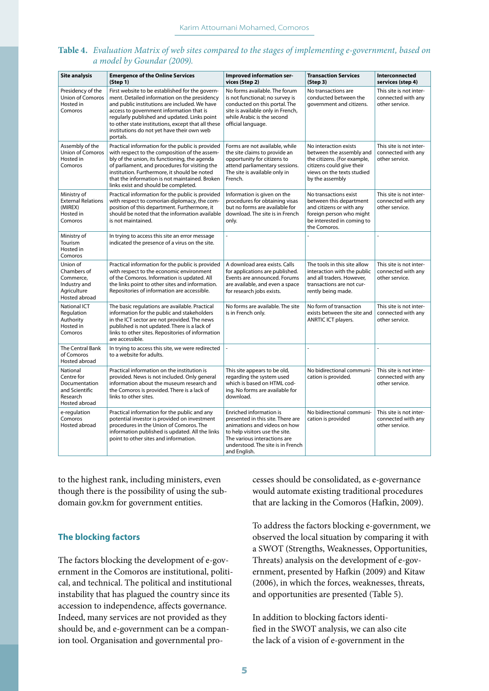| <b>Site analysis</b>                                                                   | <b>Emergence of the Online Services</b><br>(Step 1)                                                                                                                                                                                                                                                                                                          | Improved information ser-<br>vices (Step 2)                                                                                                                                                                         | <b>Transaction Services</b><br>(Step 3)                                                                                                                        | Interconnected<br>services (step 4)                             |
|----------------------------------------------------------------------------------------|--------------------------------------------------------------------------------------------------------------------------------------------------------------------------------------------------------------------------------------------------------------------------------------------------------------------------------------------------------------|---------------------------------------------------------------------------------------------------------------------------------------------------------------------------------------------------------------------|----------------------------------------------------------------------------------------------------------------------------------------------------------------|-----------------------------------------------------------------|
| Presidency of the<br><b>Union of Comoros</b><br>Hosted in<br>Comoros                   | First website to be established for the govern-<br>ment. Detailed information on the presidency<br>and public institutions are included. We have<br>access to government information that is<br>regularly published and updated. Links point<br>to other state institutions, except that all these<br>institutions do not yet have their own web<br>portals. | No forms available. The forum<br>is not functional; no survey is<br>conducted on this portal. The<br>site is available only in French,<br>while Arabic is the second<br>official language.                          | No transactions are<br>conducted between the<br>government and citizens.                                                                                       | This site is not inter-<br>connected with any<br>other service. |
| Assembly of the<br><b>Union of Comoros</b><br>Hosted in<br>Comoros                     | Practical information for the public is provided<br>with respect to the composition of the assem-<br>bly of the union, its functioning, the agenda<br>of parliament, and procedures for visiting the<br>institution. Furthermore, it should be noted<br>that the information is not maintained. Broken<br>links exist and should be completed.               | Forms are not available, while<br>the site claims to provide an<br>opportunity for citizens to<br>attend parliamentary sessions.<br>The site is available only in<br>French.                                        | No interaction exists<br>between the assembly and<br>the citizens. (For example,<br>citizens could give their<br>views on the texts studied<br>by the assembly | This site is not inter-<br>connected with any<br>other service. |
| Ministry of<br><b>External Relations</b><br>(MIREX)<br>Hosted in<br>Comoros            | Practical information for the public is provided<br>with respect to comorian diplomacy, the com-<br>position of this department. Furthermore, it<br>should be noted that the information available<br>is not maintained.                                                                                                                                     | Information is given on the<br>procedures for obtaining visas<br>but no forms are available for<br>download. The site is in French<br>only.                                                                         | No transactions exist<br>between this department<br>and citizens or with any<br>foreign person who might<br>be interested in coming to<br>the Comoros.         | This site is not inter-<br>connected with any<br>other service. |
| Ministry of<br>Tourism<br>Hosted in<br>Comoros                                         | In trying to access this site an error message<br>indicated the presence of a virus on the site.                                                                                                                                                                                                                                                             |                                                                                                                                                                                                                     |                                                                                                                                                                |                                                                 |
| Union of<br>Chambers of<br>Commerce,<br>Industry and<br>Agriculture<br>Hosted abroad   | Practical information for the public is provided<br>with respect to the economic environment<br>of the Comoros. Information is updated. All<br>the links point to other sites and information.<br>Repositories of information are accessible.                                                                                                                | A download area exists. Calls<br>for applications are published.<br>Events are announced. Forums<br>are available, and even a space<br>for research jobs exists.                                                    | The tools in this site allow<br>interaction with the public<br>and all traders. However,<br>transactions are not cur-<br>rently being made.                    | This site is not inter-<br>connected with any<br>other service. |
| <b>National ICT</b><br>Regulation<br>Authority<br>Hosted in<br>Comoros                 | The basic regulations are available. Practical<br>information for the public and stakeholders<br>in the ICT sector are not provided. The news<br>published is not updated. There is a lack of<br>links to other sites. Repositories of information<br>are accessible.                                                                                        | No forms are available. The site<br>is in French only.                                                                                                                                                              | No form of transaction<br>exists between the site and<br>ANRTIC ICT players.                                                                                   | This site is not inter-<br>connected with any<br>other service. |
| The Central Bank<br>of Comoros<br>Hosted abroad                                        | In trying to access this site, we were redirected<br>to a website for adults.                                                                                                                                                                                                                                                                                |                                                                                                                                                                                                                     | L.                                                                                                                                                             | L.                                                              |
| National<br>Centre for<br>Documentation<br>and Scientific<br>Research<br>Hosted abroad | Practical information on the institution is<br>provided. News is not included. Only general<br>information about the museum research and<br>the Comoros is provided. There is a lack of<br>links to other sites.                                                                                                                                             | This site appears to be old,<br>regarding the system used<br>which is based on HTML cod-<br>ing. No forms are available for<br>download.                                                                            | No bidirectional communi-<br>cation is provided.                                                                                                               | This site is not inter-<br>connected with any<br>other service. |
| e-regulation<br>Comoros<br>Hosted abroad                                               | Practical information for the public and any<br>potential investor is provided on investment<br>procedures in the Union of Comoros. The<br>information published is updated. All the links<br>point to other sites and information.                                                                                                                          | Enriched information is<br>presented in this site. There are<br>animations and videos on how<br>to help visitors use the site.<br>The various interactions are<br>understood. The site is in French<br>and English. | No bidirectional communi-<br>cation is provided                                                                                                                | This site is not inter-<br>connected with any<br>other service. |

**Table 4.** *Evaluation Matrix of web sites compared to the stages of implementing e-government, based on a model by Goundar (2009).* 

to the highest rank, including ministers, even though there is the possibility of using the subdomain gov.km for government entities.

## **The blocking factors**

The factors blocking the development of e-government in the Comoros are institutional, political, and technical. The political and institutional instability that has plagued the country since its accession to independence, affects governance. Indeed, many services are not provided as they should be, and e-government can be a companion tool. Organisation and governmental processes should be consolidated, as e-governance would automate existing traditional procedures that are lacking in the Comoros (Hafkin, 2009).

To address the factors blocking e-government, we observed the local situation by comparing it with a SWOT (Strengths, Weaknesses, Opportunities, Threats) analysis on the development of e-government, presented by Hafkin (2009) and Kitaw (2006), in which the forces, weaknesses, threats, and opportunities are presented (Table 5).

In addition to blocking factors identified in the SWOT analysis, we can also cite the lack of a vision of e-government in the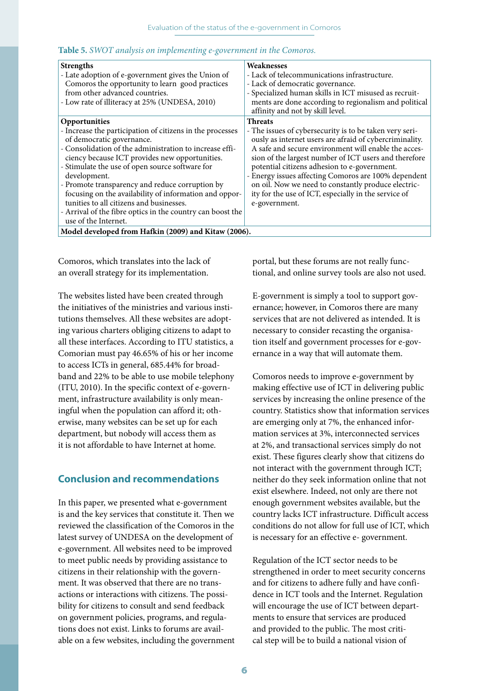|  |  |  | Table 5. SWOT analysis on implementing e-government in the Comoros. |  |
|--|--|--|---------------------------------------------------------------------|--|
|--|--|--|---------------------------------------------------------------------|--|

| <b>Strengths</b><br>- Late adoption of e-government gives the Union of<br>Comoros the opportunity to learn good practices<br>from other advanced countries.<br>- Low rate of illiteracy at 25% (UNDESA, 2010)                                                                                                                                                                                                                                                                                                                          | Weaknesses<br>- Lack of telecommunications infrastructure.<br>- Lack of democratic governance.<br>- Specialized human skills in ICT misused as recruit-<br>ments are done according to regionalism and political<br>affinity and not by skill level.                                                                                                                                                                                                                                          |  |  |  |  |
|----------------------------------------------------------------------------------------------------------------------------------------------------------------------------------------------------------------------------------------------------------------------------------------------------------------------------------------------------------------------------------------------------------------------------------------------------------------------------------------------------------------------------------------|-----------------------------------------------------------------------------------------------------------------------------------------------------------------------------------------------------------------------------------------------------------------------------------------------------------------------------------------------------------------------------------------------------------------------------------------------------------------------------------------------|--|--|--|--|
| Opportunities<br>- Increase the participation of citizens in the processes<br>of democratic governance.<br>- Consolidation of the administration to increase effi-<br>ciency because ICT provides new opportunities.<br>- Stimulate the use of open source software for<br>development.<br>- Promote transparency and reduce corruption by<br>focusing on the availability of information and oppor-<br>tunities to all citizens and businesses.<br>- Arrival of the fibre optics in the country can boost the<br>use of the Internet. | <b>Threats</b><br>- The issues of cybersecurity is to be taken very seri-<br>ously as internet users are afraid of cybercriminality.<br>A safe and secure environment will enable the acces-<br>sion of the largest number of ICT users and therefore<br>potential citizens adhesion to e-government.<br>- Energy issues affecting Comoros are 100% dependent<br>on oil. Now we need to constantly produce electric-<br>ity for the use of ICT, especially in the service of<br>e-government. |  |  |  |  |
| Model developed from Hafkin (2009) and Kitaw (2006).                                                                                                                                                                                                                                                                                                                                                                                                                                                                                   |                                                                                                                                                                                                                                                                                                                                                                                                                                                                                               |  |  |  |  |

Comoros, which translates into the lack of an overall strategy for its implementation.

The websites listed have been created through the initiatives of the ministries and various institutions themselves. All these websites are adopting various charters obliging citizens to adapt to all these interfaces. According to ITU statistics, a Comorian must pay 46.65% of his or her income to access ICTs in general, 685.44% for broadband and 22% to be able to use mobile telephony (ITU, 2010). In the specific context of e-government, infrastructure availability is only meaningful when the population can afford it; otherwise, many websites can be set up for each department, but nobody will access them as it is not affordable to have Internet at home.

# **Conclusion and recommendations**

In this paper, we presented what e-government is and the key services that constitute it. Then we reviewed the classification of the Comoros in the latest survey of UNDESA on the development of e-government. All websites need to be improved to meet public needs by providing assistance to citizens in their relationship with the government. It was observed that there are no transactions or interactions with citizens. The possibility for citizens to consult and send feedback on government policies, programs, and regulations does not exist. Links to forums are available on a few websites, including the government portal, but these forums are not really functional, and online survey tools are also not used.

E-government is simply a tool to support governance; however, in Comoros there are many services that are not delivered as intended. It is necessary to consider recasting the organisation itself and government processes for e-governance in a way that will automate them.

Comoros needs to improve e-government by making effective use of ICT in delivering public services by increasing the online presence of the country. Statistics show that information services are emerging only at 7%, the enhanced information services at 3%, interconnected services at 2%, and transactional services simply do not exist. These figures clearly show that citizens do not interact with the government through ICT; neither do they seek information online that not exist elsewhere. Indeed, not only are there not enough government websites available, but the country lacks ICT infrastructure. Difficult access conditions do not allow for full use of ICT, which is necessary for an effective e- government.

Regulation of the ICT sector needs to be strengthened in order to meet security concerns and for citizens to adhere fully and have confidence in ICT tools and the Internet. Regulation will encourage the use of ICT between departments to ensure that services are produced and provided to the public. The most critical step will be to build a national vision of